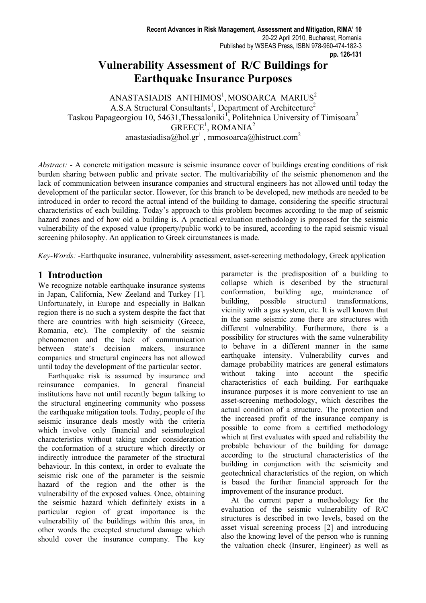# **Vulnerability Assessment of R/C Buildings for Earthquake Insurance Purposes**

 $ANASTASIADIS ANTHIMOS<sup>1</sup>, MOSOARCA MARIUS<sup>2</sup>$ A.S.A Structural Consultants<sup>1</sup>, Department of Architecture<sup>2</sup> Taskou Papageorgiou 10, 54631, Thessaloniki<sup>1</sup>, Politehnica University of Timisoara<sup>2</sup>  $GREECE<sup>1</sup>$ , ROMANIA<sup>2</sup> anastasiadisa $@h$ ol.gr<sup>1</sup>, mmosoarca $@h$ istruct.com<sup>2</sup>

*Abstract:* - A concrete mitigation measure is seismic insurance cover of buildings creating conditions of risk burden sharing between public and private sector. The multivariability of the seismic phenomenon and the lack of communication between insurance companies and structural engineers has not allowed until today the development of the particular sector. However, for this branch to be developed, new methods are needed to be introduced in order to record the actual intend of the building to damage, considering the specific structural characteristics of each building. Today's approach to this problem becomes according to the map of seismic hazard zones and of how old a building is. A practical evaluation methodology is proposed for the seismic vulnerability of the exposed value (property/public work) to be insured, according to the rapid seismic visual screening philosophy. An application to Greek circumstances is made.

*Key-Words: -*Earthquake insurance, vulnerability assessment, asset-screening methodology, Greek application

## **1 Introduction**

We recognize notable earthquake insurance systems in Japan, California, New Zeeland and Turkey [1]. Unfortunately, in Europe and especially in Balkan region there is no such a system despite the fact that there are countries with high seismicity (Greece, Romania, etc). The complexity of the seismic phenomenon and the lack of communication between state's decision makers, insurance companies and structural engineers has not allowed until today the development of the particular sector.

 Earthquake risk is assumed by insurance and reinsurance companies. In general financial institutions have not until recently begun talking to the structural engineering community who possess the earthquake mitigation tools. Today, people of the seismic insurance deals mostly with the criteria which involve only financial and seismological characteristics without taking under consideration the conformation of a structure which directly or indirectly introduce the parameter of the structural behaviour. In this context, in order to evaluate the seismic risk one of the parameter is the seismic hazard of the region and the other is the vulnerability of the exposed values. Once, obtaining the seismic hazard which definitely exists in a particular region of great importance is the vulnerability of the buildings within this area, in other words the excepted structural damage which should cover the insurance company. The key

parameter is the predisposition of a building to collapse which is described by the structural conformation, building age, maintenance of building, possible structural transformations, vicinity with a gas system, etc. It is well known that in the same seismic zone there are structures with different vulnerability. Furthermore, there is a possibility for structures with the same vulnerability to behave in a different manner in the same earthquake intensity. Vulnerability curves and damage probability matrices are general estimators without taking into account the specific characteristics of each building. For earthquake insurance purposes it is more convenient to use an asset-screening methodology, which describes the actual condition of a structure. The protection and the increased profit of the insurance company is possible to come from a certified methodology which at first evaluates with speed and reliability the probable behaviour of the building for damage according to the structural characteristics of the building in conjunction with the seismicity and geotechnical characteristics of the region, on which is based the further financial approach for the improvement of the insurance product.

 At the current paper a methodology for the evaluation of the seismic vulnerability of R/C structures is described in two levels, based on the asset visual screening process [2] and introducing also the knowing level of the person who is running the valuation check (Insurer, Engineer) as well as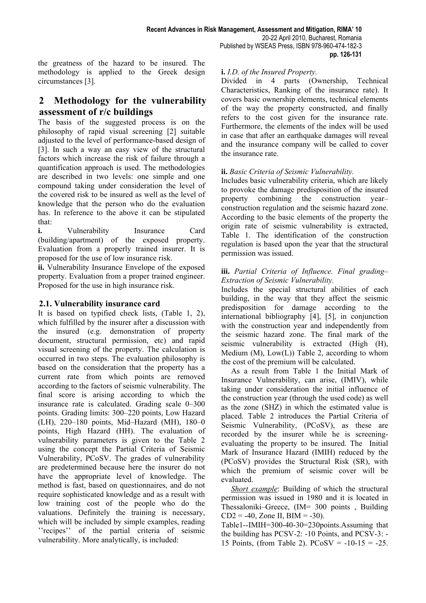the greatness of the hazard to be insured. The methodology is applied to the Greek design circumstances [3].

## **2 Methodology for the vulnerability assessment of r/c buildings**

The basis of the suggested process is on the philosophy of rapid visual screening [2] suitable adjusted to the level of performance-based design of [3]. In such a way an easy view of the structural factors which increase the risk of failure through a quantification approach is used. The methodologies are described in two levels: one simple and one compound taking under consideration the level of the covered risk to be insured as well as the level of knowledge that the person who do the evaluation has. In reference to the above it can be stipulated that:

**i.** Vulnerability Insurance Card (building/apartment) of the exposed property. Evaluation from a properly trained insurer. It is proposed for the use of low insurance risk.

**ii.** Vulnerability Insurance Envelope of the exposed property. Evaluation from a proper trained engineer. Proposed for the use in high insurance risk.

## **2.1. Vulnerability insurance card**

It is based on typified check lists, (Table 1, 2), which fulfilled by the insurer after a discussion with the insured (e.g. demonstration of property document, structural permission, etc) and rapid visual screening of the property. The calculation is occurred in two steps. The evaluation philosophy is based on the consideration that the property has a current rate from which points are removed according to the factors of seismic vulnerability. The final score is arising according to which the insurance rate is calculated. Grading scale 0–300 points. Grading limits: 300–220 points, Low Hazard (LH), 220–180 points, Mid–Hazard (MH), 180–0 points, High Hazard (HH). The evaluation of vulnerability parameters is given to the Table 2 using the concept the Partial Criteria of Seismic Vulnerability, PCoSV. The grades of vulnerability are predetermined because here the insurer do not have the appropriate level of knowledge. The method is fast, based on questionnaires, and do not require sophisticated knowledge and as a result with low training cost of the people who do the valuations. Definitely the training is necessary, which will be included by simple examples, reading ''recipes'' of the partial criteria of seismic vulnerability. More analytically, is included:

## **i.** *I.D. of the Insured Property.*

Divided in 4 parts (Ownership, Technical Characteristics, Ranking of the insurance rate). It covers basic ownership elements, technical elements of the way the property constructed, and finally refers to the cost given for the insurance rate. Furthermore, the elements of the index will be used in case that after an earthquake damages will reveal and the insurance company will be called to cover the insurance rate.

## **ii.** *Basic Criteria of Seismic Vulnerability.*

Includes basic vulnerability criteria, which are likely to provoke the damage predisposition of the insured property combining the construction year– construction regulation and the seismic hazard zone. According to the basic elements of the property the origin rate of seismic vulnerability is extracted, Table 1. The identification of the construction regulation is based upon the year that the structural permission was issued.

#### **iii.** *Partial Criteria of Influence. Final grading– Extraction of Seismic Vulnerability.*

Includes the special structural abilities of each building, in the way that they affect the seismic predisposition for damage according to the international bibliography [4], [5], in conjunction with the construction year and independently from the seismic hazard zone. The final mark of the seismic vulnerability is extracted (High (H), Medium  $(M)$ ,  $Low(L)$ ) Table 2, according to whom the cost of the premium will be calculated.

 As a result from Table 1 the Initial Mark of Insurance Vulnerability, can arise, (IMIV), while taking under consideration the initial influence of the construction year (through the used code) as well as the zone (SHZ) in which the estimated value is placed. Table 2 introduces the Partial Criteria of Seismic Vulnerability, (PCoSV), as these are recorded by the insurer while he is screeningevaluating the property to be insured. The Initial Mark of Insurance Hazard (IMIH) reduced by the (PCoSV) provides the Structural Risk (SR), with which the premium of seismic cover will be evaluated.

 *Short example*: Building of which the structural permission was issued in 1980 and it is located in Thessaloniki–Greece, (IM= 300 points , Building  $CD2 = -40$ , Zone II, BIM =  $-30$ ).

Table1--IMIH=300-40-30=230points.Assuming that the building has PCSV-2: -10 Points, and PCSV-3: - 15 Points, (from Table 2).  $PCoSV = -10-15 = -25$ .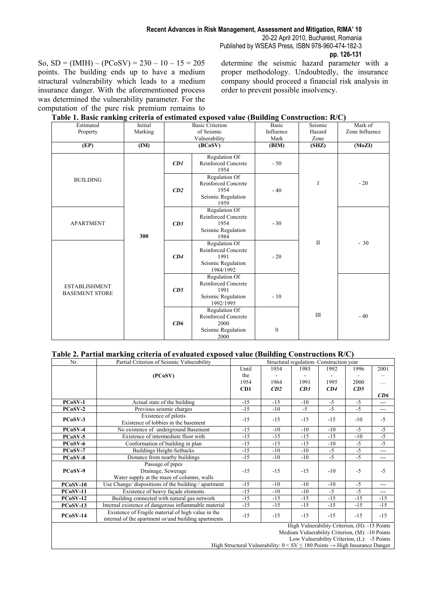So,  $SD = (IMIH) - (PCoSV) = 230 - 10 - 15 = 205$ points. The building ends up to have a medium structural vulnerability which leads to a medium insurance danger. With the aforementioned process was determined the vulnerability parameter. For the computation of the pure risk premium remains to determine the seismic hazard parameter with a proper methodology. Undoubtedly, the insurance company should proceed a financial risk analysis in order to prevent possible insolvency.

| Estimated<br>Property                         | Initial<br>Marking | $\alpha$ of $\alpha$ commuted exposed value (Danuing Construction) is $\sigma$<br><b>Basic Criterion</b><br>of Seismic<br>Vulnerability |                                                                                 | Basic<br>Influence<br>Mark | Seismic<br>Hazard<br>Zone | Mark of<br>Zone Influence |
|-----------------------------------------------|--------------------|-----------------------------------------------------------------------------------------------------------------------------------------|---------------------------------------------------------------------------------|----------------------------|---------------------------|---------------------------|
| (EP)                                          | (IM)               |                                                                                                                                         | (BCoSV)                                                                         | (BIM)                      | (SHZ)                     | (MoZI)                    |
|                                               |                    | CDI                                                                                                                                     | Regulation Of<br>Reinforced Concrete<br>1954                                    | $-50$                      |                           |                           |
| <b>BUILDING</b>                               |                    | CD2                                                                                                                                     | Regulation Of<br>Reinforced Concrete<br>1954<br>Seismic Regulation<br>1959      | $-40$                      | I                         | $-20$                     |
| <b>APARTMENT</b>                              | 300                | CD3                                                                                                                                     | Regulation Of<br>Reinforced Concrete<br>1954<br>Seismic Regulation<br>1984      | $-30$                      |                           |                           |
|                                               |                    | CD4                                                                                                                                     | Regulation Of<br>Reinforced Concrete<br>1991<br>Seismic Regulation<br>1984/1992 | $-20$                      | $\mathbf{I}$              | $-30$                     |
| <b>ESTABLISHMENT</b><br><b>BASEMENT STORE</b> |                    | CD5                                                                                                                                     | Regulation Of<br>Reinforced Concrete<br>1991<br>Seismic Regulation<br>1992/1995 | $-10$                      |                           |                           |
|                                               |                    | CD6                                                                                                                                     | Regulation Of<br>Reinforced Concrete<br>2000<br>Seismic Regulation<br>2000      | $\mathbf{0}$               | III                       | $-40$                     |

| Table 1. Basic ranking criteria of estimated exposed value (Building Construction: R/C) |  |  |  |
|-----------------------------------------------------------------------------------------|--|--|--|
|                                                                                         |  |  |  |

#### **Table 2. Partial marking criteria of evaluated exposed value (Building Constructions R/C)**

| Nr.                                                                                                                           | Partial Criterion of Seismic Vulnerability<br>Structural regulation- Construction year |       |       |       |                                                |       |       |
|-------------------------------------------------------------------------------------------------------------------------------|----------------------------------------------------------------------------------------|-------|-------|-------|------------------------------------------------|-------|-------|
|                                                                                                                               |                                                                                        | Until | 1954  | 1985  | 1992                                           | 1996  | 2001  |
|                                                                                                                               | (PCoSV)                                                                                | the   |       |       |                                                |       |       |
|                                                                                                                               |                                                                                        | 1954  | 1964  | 1991  | 1995                                           | 2000  | .     |
|                                                                                                                               |                                                                                        | CD1   | CD2   | CD3   | CD4                                            | CD5   |       |
|                                                                                                                               |                                                                                        |       |       |       |                                                |       | CD6   |
| PCoSV-1                                                                                                                       | Actual state of the building                                                           | $-15$ | $-15$ | $-10$ | $-5$                                           | $-5$  | ---   |
| $PCoSV-2$                                                                                                                     | Previous seismic charges                                                               | $-15$ | $-10$ | $-5$  | $-5$                                           | $-5$  | ---   |
| PCoSV-3                                                                                                                       | Existence of pilotis<br>Existence of lobbies in the basement                           | $-15$ | $-15$ | $-15$ | $-15$                                          | $-10$ | $-5$  |
| PCoSV-4                                                                                                                       | No existence of underground Basement                                                   | $-15$ | $-10$ | $-10$ | $-10$                                          | $-5$  | $-5$  |
| PCoSV-5                                                                                                                       | Existence of intermediate floor with                                                   | $-15$ | $-15$ | $-15$ | $-15$                                          | $-10$ | $-5$  |
| PCoSV-6                                                                                                                       | Conformation of building in plan                                                       | $-15$ | $-15$ | $-15$ | $-10$                                          | $-5$  | $-5$  |
| PCoSV-7                                                                                                                       | <b>Buildings Height-Setbacks</b>                                                       | $-15$ | $-10$ | $-10$ | $-5$                                           | $-5$  | ---   |
| PCoSV-8                                                                                                                       | Distance from nearby buildings                                                         | $-15$ | $-10$ | $-10$ | $-5$                                           | $-5$  | $---$ |
|                                                                                                                               | Passage of pipes                                                                       |       |       |       |                                                |       |       |
| PCoSV-9                                                                                                                       | Drainage, Sewerage                                                                     | $-15$ | $-15$ | $-15$ | $-10$                                          | $-5$  | $-5$  |
|                                                                                                                               | Water supply at the maze of columns, walls                                             |       |       |       |                                                |       |       |
| $PCoSV-10$                                                                                                                    | Use Change/ dispositions of the building / apartment                                   | $-15$ | $-10$ | $-10$ | $-10$                                          | $-5$  | ---   |
| $PCoSV-11$                                                                                                                    | $-5$<br>Existence of heavy façade elements<br>$-15$<br>$-10$<br>$-10$                  |       |       | $-5$  | $---$                                          |       |       |
| $PCoSV-12$                                                                                                                    | $-15$<br>$-15$<br>$-15$<br>Building connected with natural gas network<br>$-15$        |       | $-15$ | $-15$ |                                                |       |       |
| <b>PCoSV-13</b>                                                                                                               | Internal existence of dangerous inflammable material                                   | $-15$ | $-15$ | $-15$ | $-15$                                          | $-15$ | $-15$ |
| Existence of Fragile material of high value in the<br><b>PCoSV-14</b><br>internal of the apartment or/and building apartments |                                                                                        | $-15$ | $-15$ | $-15$ | $-15$                                          | $-15$ | $-15$ |
|                                                                                                                               | High Vulnerability Criterion, (H): -15 Points                                          |       |       |       |                                                |       |       |
|                                                                                                                               | Medium Vulnerability Criterion, (M): -10 Points                                        |       |       |       |                                                |       |       |
|                                                                                                                               |                                                                                        |       |       |       | Low Vulnerability Criterion, $(L)$ : -5 Points |       |       |
| High Structural Vulnerability: $0 < SV \le 180$ Points $\rightarrow$ High Insurance Danger                                    |                                                                                        |       |       |       |                                                |       |       |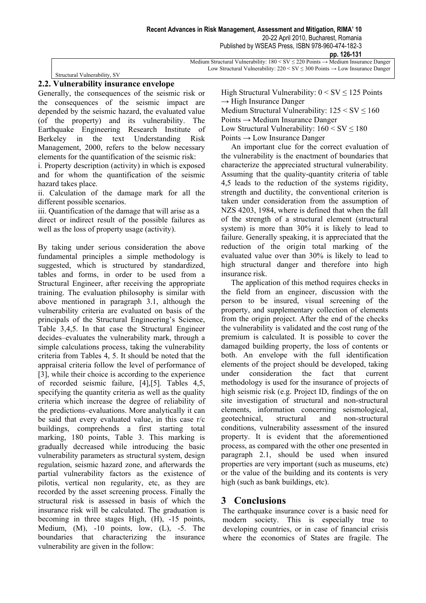| Medium Structural Vulnerability: $180 \leq SV \leq 220$ Points $\rightarrow$ Medium Insurance Danger |
|------------------------------------------------------------------------------------------------------|
| Low Structural Vulnerability: $220 \leq SV \leq 300$ Points $\rightarrow$ Low Insurance Danger       |

Structural Vulnerability, SV

Generally, the consequences of the seismic risk or the consequences of the seismic impact are depended by the seismic hazard, the evaluated value (of the property) and its vulnerability. The Earthquake Engineering Research Institute of Berkeley in the text Understanding Risk Management, 2000, refers to the below necessary elements for the quantification of the seismic risk:

i. Property description (activity) in which is exposed and for whom the quantification of the seismic hazard takes place.

ii. Calculation of the damage mark for all the different possible scenarios.

iii. Quantification of the damage that will arise as a direct or indirect result of the possible failures as well as the loss of property usage (activity).

By taking under serious consideration the above fundamental principles a simple methodology is suggested, which is structured by standardized, tables and forms, in order to be used from a Structural Engineer, after receiving the appropriate training. The evaluation philosophy is similar with above mentioned in paragraph 3.1, although the vulnerability criteria are evaluated on basis of the principals of the Structural Engineering's Science, Table 3,4,5. In that case the Structural Engineer decides–evaluates the vulnerability mark, through a simple calculations process, taking the vulnerability criteria from Tables 4, 5. It should be noted that the appraisal criteria follow the level of performance of [3], while their choice is according to the experience of recorded seismic failure, [4],[5]. Tables 4,5, specifying the quantity criteria as well as the quality criteria which increase the degree of reliability of the predictions–evaluations. More analytically it can be said that every evaluated value, in this case r/c buildings, comprehends a first starting total marking, 180 points, Table 3. This marking is gradually decreased while introducing the basic vulnerability parameters as structural system, design regulation, seismic hazard zone, and afterwards the partial vulnerability factors as the existence of pilotis, vertical non regularity, etc, as they are recorded by the asset screening process. Finally the structural risk is assessed in basis of which the insurance risk will be calculated. The graduation is becoming in three stages High, (H), -15 points, Medium,  $(M)$ ,  $-10$  points, low,  $(L)$ ,  $-5$ . The boundaries that characterizing the insurance vulnerability are given in the follow:

High Structural Vulnerability:  $0 < SV \le 125$  Points  $\rightarrow$  High Insurance Danger Medium Structural Vulnerability:  $125 \leq SV \leq 160$ Points → Medium Insurance Danger Low Structural Vulnerability:  $160 \leq SV \leq 180$ 

Points  $\rightarrow$  Low Insurance Danger

 An important clue for the correct evaluation of the vulnerability is the enactment of boundaries that characterize the appreciated structural vulnerability. Assuming that the quality-quantity criteria of table 4,5 leads to the reduction of the systems rigidity, strength and ductility, the conventional criterion is taken under consideration from the assumption of NZS 4203, 1984, where is defined that when the fall of the strength of a structural element (structural system) is more than 30% it is likely to lead to failure. Generally speaking, it is appreciated that the reduction of the origin total marking of the evaluated value over than 30% is likely to lead to high structural danger and therefore into high insurance risk.

 The application of this method requires checks in the field from an engineer, discussion with the person to be insured, visual screening of the property, and supplementary collection of elements from the origin project. After the end of the checks the vulnerability is validated and the cost rung of the premium is calculated. It is possible to cover the damaged building property, the loss of contents or both. An envelope with the full identification elements of the project should be developed, taking under consideration the fact that current methodology is used for the insurance of projects of high seismic risk (e.g. Project ID, findings of the on site investigation of structural and non-structural elements, information concerning seismological, geotechnical, structural and non-structural conditions, vulnerability assessment of the insured property. It is evident that the aforementioned process, as compared with the other one presented in paragraph 2.1, should be used when insured properties are very important (such as museums, etc) or the value of the building and its contents is very high (such as bank buildings, etc).

## **3 Conclusions**

The earthquake insurance cover is a basic need for modern society. This is especially true to developing countries, or in case of financial crisis where the economics of States are fragile. The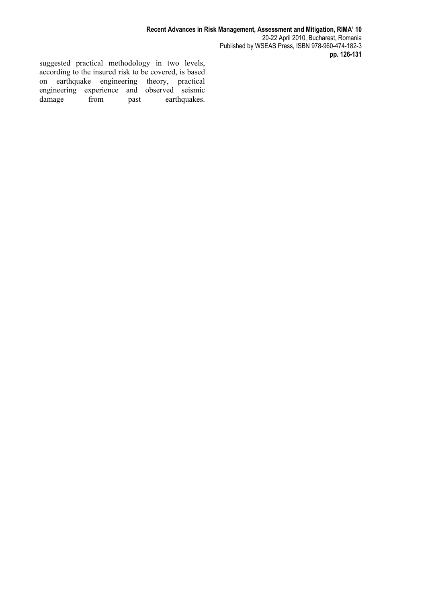suggested practical methodology in two levels, according to the insured risk to be covered, is based on earthquake engineering theory, practical engineering experience and observed seismic damage from past earthquakes.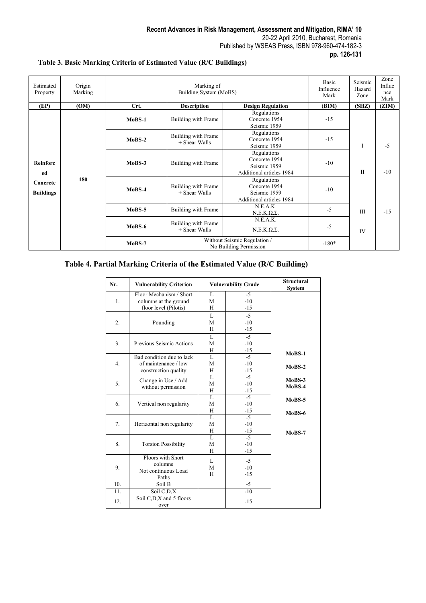#### **pp. 126-131**

#### **Table 3. Basic Marking Criteria of Estimated Value (R/C Buildings)**

| Estimated<br>Property                          | Origin<br>Marking | Marking of<br>Building System (MoBS) |                                      |                                                                          | Basic<br>Influence<br>Mark | Seismic<br>Hazard<br>Zone | Zone<br>Influe<br>nce<br>Mark |
|------------------------------------------------|-------------------|--------------------------------------|--------------------------------------|--------------------------------------------------------------------------|----------------------------|---------------------------|-------------------------------|
| (EP)                                           | (OM)              | Crt.                                 | <b>Description</b>                   | <b>Design Regulation</b>                                                 | (BIM)                      | (SHZ)                     | (ZIM)                         |
|                                                |                   | $MoBS-1$                             | Building with Frame                  | Regulations<br>Concrete 1954<br>Seismic 1959                             | $-15$                      |                           |                               |
| Reinforc<br>ed<br>Concrete<br><b>Buildings</b> |                   | $MoBS-2$                             | Building with Frame<br>+ Shear Walls | Regulations<br>Concrete 1954<br>Seismic 1959                             | $-15$                      | I                         | $-5$                          |
|                                                |                   | $MoBS-3$                             | Building with Frame                  | Regulations<br>Concrete 1954<br>Seismic 1959<br>Additional articles 1984 | $-10$                      | $\mathbf{I}$              | $-10$                         |
|                                                | 180               | $MoBS-4$                             | Building with Frame<br>+ Shear Walls | Regulations<br>Concrete 1954<br>Seismic 1959<br>Additional articles 1984 | $-10$                      |                           |                               |
|                                                |                   | $MoBS-5$                             | Building with Frame                  | N.E.A.K.<br>$N.E.K. Q.\Sigma.$                                           | $-5$                       | Ш                         | $-15$                         |
|                                                |                   | MoBS-6                               | Building with Frame<br>+ Shear Walls | N.E.A.K.<br>$N.E.K.\Omega.\Sigma.$                                       | $-5$                       | IV                        |                               |
|                                                |                   | $MoBS-7$                             |                                      | Without Seismic Regulation /<br>No Building Permission                   | $-180*$                    |                           |                               |

## **Table 4. Partial Marking Criteria of the Estimated Value (R/C Building)**

| Nr. | <b>Vulnerability Criterion</b>                   |        | <b>Vulnerability Grade</b> | <b>Structural</b><br><b>System</b> |
|-----|--------------------------------------------------|--------|----------------------------|------------------------------------|
| 1.  | Floor Mechanism / Short<br>columns at the ground | L<br>M | $-5$<br>$-10$              |                                    |
|     | floor level (Pilotis)                            | H      | $-15$                      |                                    |
|     |                                                  | L      | $-5$                       |                                    |
| 2.  | Pounding                                         | M      | $-10$                      |                                    |
|     |                                                  | H      | $-15$                      |                                    |
|     |                                                  | L      | $-5$                       |                                    |
| 3.  | Previous Seismic Actions                         | M      | $-10$                      |                                    |
|     |                                                  | H      | $-15$                      | $MoBS-1$                           |
|     | Bad condition due to lack                        | L      | $-5$                       |                                    |
| 4.  | of maintenance / low                             | M      | $-10$                      | $MoBS-2$                           |
|     | construction quality                             | H<br>L | $-15$<br>$-5$              |                                    |
| 5.  | Change in Use / Add                              | M      | $-10$                      | $MoBS-3$                           |
|     | without permission                               | H      | $-15$                      | MoBS-4                             |
| 6.  |                                                  | L      | $-5$                       |                                    |
|     | Vertical non regularity                          | M      | $-10$                      | $MoBS-5$                           |
|     |                                                  | H      | $-15$                      | $MoBS-6$                           |
|     |                                                  | L      | $-5$                       |                                    |
| 7.  | Horizontal non regularity                        | M      | $-10$                      |                                    |
|     |                                                  | H      | -15                        | $MoBS-7$                           |
| 8.  |                                                  | L      | $-5$                       |                                    |
|     | <b>Torsion Possibility</b>                       | M      | $-10$                      |                                    |
|     |                                                  | H      | $-15$                      |                                    |
|     | Floors with Short                                | L      | $-5$                       |                                    |
| 9.  | columns                                          | M      | $-10$                      |                                    |
|     | Not continuous Load<br>Paths                     | H      | $-15$                      |                                    |
| 10. | Soil B                                           |        | $-5$                       |                                    |
| 11. | Soil C,D,X                                       |        | $-10$                      |                                    |
| 12. | Soil C,D,X and 5 floors<br>over                  |        | $-15$                      |                                    |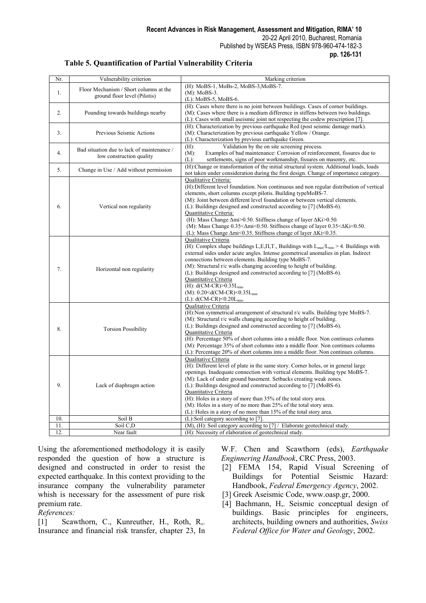| Nr. | Vulnerability criterion                                                | Marking criterion                                                                                                                                                                                                                                                                                                                                                                                                                                                                                                                                                                                                                                  |
|-----|------------------------------------------------------------------------|----------------------------------------------------------------------------------------------------------------------------------------------------------------------------------------------------------------------------------------------------------------------------------------------------------------------------------------------------------------------------------------------------------------------------------------------------------------------------------------------------------------------------------------------------------------------------------------------------------------------------------------------------|
| 1.  | Floor Mechanism / Short columns at the<br>ground floor level (Pilotis) | (H): MoBS-1, MoBs-2, MoBS-3, MoBS-7.<br>$(M)$ : MoBS-3.<br>(L): MoBS-5, MoBS-6.                                                                                                                                                                                                                                                                                                                                                                                                                                                                                                                                                                    |
| 2.  | Pounding towards buildings nearby                                      | (H): Cases where there is no joint between buildings. Cases of corner buildings.<br>(M): Cases where there is a medium difference in stiffens between two buildings.<br>(L): Cases with small aseismic joint not respecting the codew prescription [7].                                                                                                                                                                                                                                                                                                                                                                                            |
| 3.  | Previous Seismic Actions                                               | (H): Characterization by previous earthquake Red (post seismic damage mark).<br>(M): Characterization by previous earthquake Yellow / Orange.<br>(L): Characterization by previous earthquake Green.                                                                                                                                                                                                                                                                                                                                                                                                                                               |
| 4.  | Bad situation due to lack of maintenance /<br>low construction quality | Validation by the on site screening process.<br>$(H)$ :<br>$(M)$ :<br>Examples of bad maintenance: Corrosion of reinforcement, fissures due to<br>$(L)$ :<br>settlements, signs of poor workmanship, fissures on masonry, etc.                                                                                                                                                                                                                                                                                                                                                                                                                     |
| 5.  | Change in Use / Add without permission                                 | (H):Change or transformation of the initial structural system. Additional loads, loads<br>not taken under consideration during the first design. Change of importance category.                                                                                                                                                                                                                                                                                                                                                                                                                                                                    |
| 6.  | Vertical non regularity                                                | Qualitative Criteria:<br>(H): Different level foundation. Non continuous and non regular distribution of vertical<br>elements, short columns except pilotis. Building typeMoBS-7.<br>(M): Joint between different level foundation or between vertical elements.<br>(L): Buildings designed and constructed according to [7] (MoBS-6).<br><b>Quantitative Criteria:</b><br>(H): Mass Change $\Delta m$ > 0.50. Stiffness change of layer $\Delta K$ i> 0.50.<br>(M): Mass Change $0.35<\Delta m$ i < 0.50. Stiffness change of layer $0.35<\Delta K$ i < 0.50.<br>(L): Mass Change $\Delta mi$ <0.35. Stiffness change of layer $\Delta Ki$ <0.35. |
| 7.  | Horizontal non regularity                                              | <b>Oualitative Criteria</b><br>(H): Complex shape buildings L,E,II,T., Buildings with $L_{max}/L_{min} > 4$ . Buildings with<br>external sides under acute angles. Intense geometrical anomalies in plan. Indirect<br>connections between elements. Building type MoBS-7.<br>(M): Structural r/c walls changing according to height of building.<br>(L): Buildings designed and constructed according to [7] (MoBS-6).<br>Quantitative Criteria<br>(H): $d(CM-CR) > 0.35L_{min}$<br>(M): $0.20 < d(CM-CR) < 0.35L_{min}$<br>(L): $d(CM-CR) < 0.20L_{min}$ .                                                                                        |
| 8.  | <b>Torsion Possibility</b>                                             | Qualitative Criteria<br>(H):Non symmetrical arrangement of structural r/c walls. Building type MoBS-7.<br>(M): Structural r/c walls changing according to height of building.<br>(L): Buildings designed and constructed according to [7] (MoBS-6).<br>Quantitative Criteria<br>(H): Percentage 50% of short columns into a middle floor. Non continues columns<br>(M): Percentage 35% of short columns into a middle floor. Non continues columns<br>(L): Percentage 20% of short columns into a middle floor. Non continues columns.                                                                                                             |
| 9.  | Lack of diaphragm action                                               | <b>Oualitative Criteria</b><br>(H): Different level of plate in the same story. Corner holes, or in general large<br>openings. Inadequate connection with vertical elements. Building type MoBS-7.<br>(M): Lack of under ground basement. Setbacks creating weak zones.<br>(L): Buildings designed and constructed according to [7] (MoBS-6).<br>Quantitative Criteria<br>(H): Holes in a story of more than 35% of the total story area.<br>(M): Holes in a story of no more than 25% of the total story area.<br>(L): Holes in a story of no more than 15% of the total story area.                                                              |
| 10. | Soil B                                                                 | (L):Soil category according to [7]                                                                                                                                                                                                                                                                                                                                                                                                                                                                                                                                                                                                                 |
| 11. | Soil C <sub>D</sub>                                                    | (M), (H): Soil category according to [7] / Elaborate geotechnical study.                                                                                                                                                                                                                                                                                                                                                                                                                                                                                                                                                                           |
| 12. | Near fault                                                             | (H): Necessity of elaboration of geotechnical study.                                                                                                                                                                                                                                                                                                                                                                                                                                                                                                                                                                                               |

## **Table 5. Quantification of Partial Vulnerability Criteria**

Using the aforementioned methodology it is easily responded the question of how a structure is designed and constructed in order to resist the expected earthquake. In this context providing to the insurance company the vulnerability parameter whish is necessary for the assessment of pure risk premium rate.

#### *References:*

[1] Scawthorn, C., Kunreuther, H., Roth, R,. Insurance and financial risk transfer, chapter 23, In W.F. Chen and Scawthorn (eds), *Earthquake Enginnering Handbook*, CRC Press, 2003.

- [2] FEMA 154, Rapid Visual Screening of Buildings for Potential Seismic Hazard: Handbook, *Federal Emergency Agency*, 2002.
- [3] Greek Aseismic Code, www.oasp.gr, 2000.
- [4] Bachmann, H,. Seismic conceptual design of buildings. Basic principles for engineers, architects, building owners and authorities, *Swiss Federal Office for Water and Geology*, 2002.